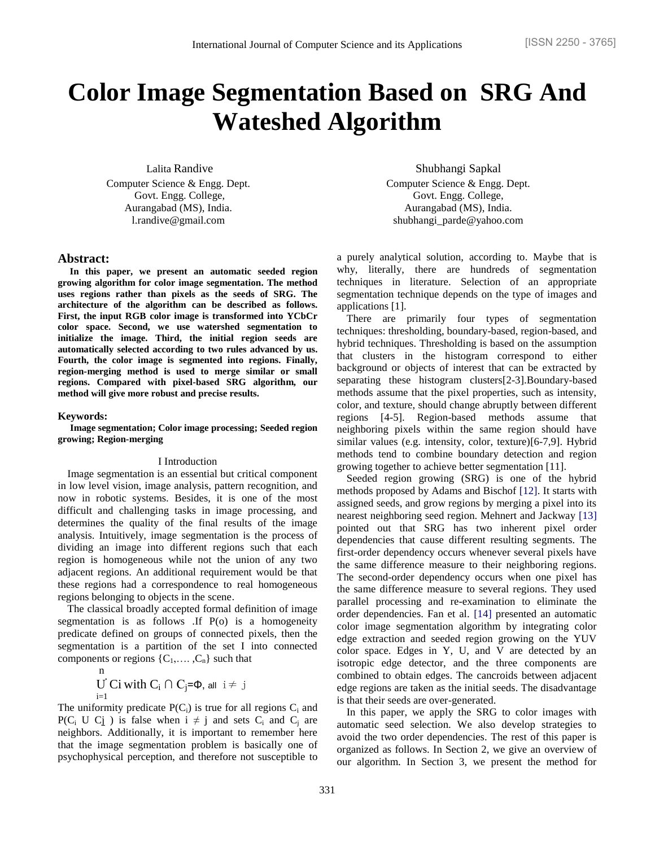# **Color Image Segmentation Based on SRG And Wateshed Algorithm**

Lalita Randive Computer Science & Engg. Dept. Govt. Engg. College, Aurangabad (MS), India. l.randive@gmail.com

# **Abstract:**

**In this paper, we present an automatic seeded region growing algorithm for color image segmentation. The method uses regions rather than pixels as the seeds of SRG. The architecture of the algorithm can be described as follows. First, the input RGB color image is transformed into YCbCr color space. Second, we use watershed segmentation to initialize the image. Third, the initial region seeds are automatically selected according to two rules advanced by us. Fourth, the color image is segmented into regions. Finally, region-merging method is used to merge similar or small regions. Compared with pixel-based SRG algorithm, our method will give more robust and precise results.**

#### **Keywords:**

**Image segmentation; Color image processing; Seeded region growing; Region-merging**

#### I Introduction

Image segmentation is an essential but critical component in low level vision, image analysis, pattern recognition, and now in robotic systems. Besides, it is one of the most difficult and challenging tasks in image processing, and determines the quality of the final results of the image analysis. Intuitively, image segmentation is the process of dividing an image into different regions such that each region is homogeneous while not the union of any two adjacent regions. An additional requirement would be that these regions had a correspondence to real homogeneous regions belonging to objects in the scene.

The classical broadly accepted formal definition of image segmentation is as follows . If  $P(o)$  is a homogeneity predicate defined on groups of connected pixels, then the segmentation is a partition of the set I into connected components or regions  $\{C_1, \ldots, C_n\}$  such that

> n U Ci with  $C_i \cap C_j = \Phi$ , all  $i \neq j$  $i=1$

The uniformity predicate  $P(C_i)$  is true for all regions  $C_i$  and P(C<sub>i</sub> U C<sub>j</sub>) is false when  $i \neq j$  and sets C<sub>i</sub> and C<sub>j</sub> are neighbors. Additionally, it is important to remember here that the image segmentation problem is basically one of psychophysical perception, and therefore not susceptible to

Shubhangi Sapkal Computer Science & Engg. Dept. Govt. Engg. College, Aurangabad (MS), India. shubhangi\_parde@yahoo.com

a purely analytical solution, according to. Maybe that is why, literally, there are hundreds of segmentation techniques in literature. Selection of an appropriate segmentation technique depends on the type of images and applications [1].

There are primarily four types of segmentation techniques: thresholding, boundary-based, region-based, and hybrid techniques. Thresholding is based on the assumption that clusters in the histogram correspond to either background or objects of interest that can be extracted by separating these histogram clusters[2-3].Boundary-based methods assume that the pixel properties, such as intensity, color, and texture, should change abruptly between different regions [4-5]. Region-based methods assume that neighboring pixels within the same region should have similar values (e.g. intensity, color, texture)[6-7,9]. Hybrid methods tend to combine boundary detection and region growing together to achieve better segmentation [11].

Seeded region growing (SRG) is one of the hybrid methods proposed by Adams and Bischof [12]. It starts with assigned seeds, and grow regions by merging a pixel into its nearest neighboring seed region. Mehnert and Jackway [13] pointed out that SRG has two inherent pixel order dependencies that cause different resulting segments. The first-order dependency occurs whenever several pixels have the same difference measure to their neighboring regions. The second-order dependency occurs when one pixel has the same difference measure to several regions. They used parallel processing and re-examination to eliminate the order dependencies. Fan et al. [14] presented an automatic color image segmentation algorithm by integrating color edge extraction and seeded region growing on the YUV color space. Edges in Y, U, and V are detected by an isotropic edge detector, and the three components are combined to obtain edges. The cancroids between adjacent edge regions are taken as the initial seeds. The disadvantage is that their seeds are over-generated.

In this paper, we apply the SRG to color images with automatic seed selection. We also develop strategies to avoid the two order dependencies. The rest of this paper is organized as follows. In Section 2, we give an overview of our algorithm. In Section 3, we present the method for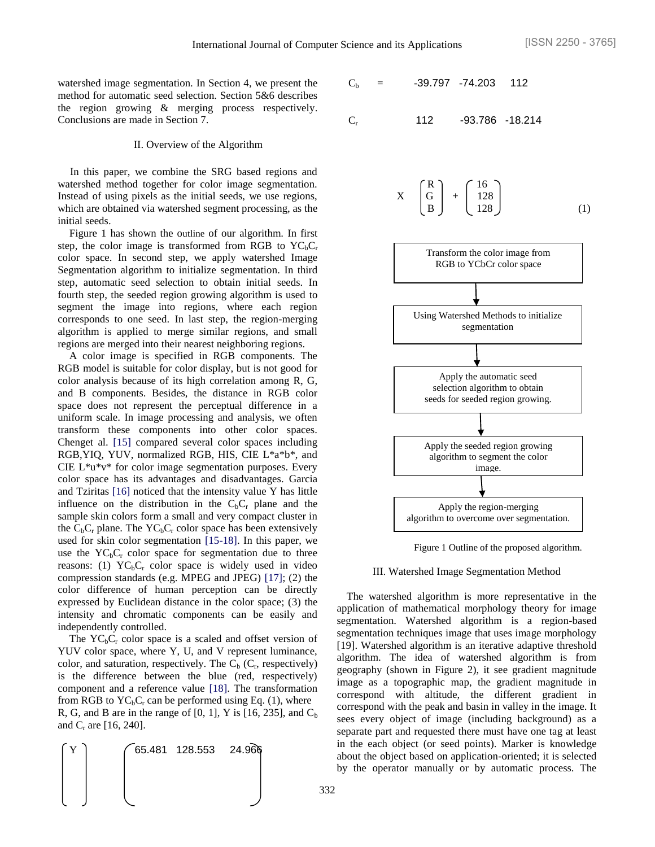watershed image segmentation. In Section 4, we present the method for automatic seed selection. Section 5&6 describes the region growing & merging process respectively. Conclusions are made in Section 7.

# II. Overview of the Algorithm

In this paper, we combine the SRG based regions and watershed method together for color image segmentation. Instead of using pixels as the initial seeds, we use regions, which are obtained via watershed segment processing, as the initial seeds.

Figure 1 has shown the outline of our algorithm. In first step, the color image is transformed from RGB to  $\text{YC}_{b}C_{r}$ color space. In second step, we apply watershed Image Segmentation algorithm to initialize segmentation. In third step, automatic seed selection to obtain initial seeds. In fourth step, the seeded region growing algorithm is used to segment the image into regions, where each region corresponds to one seed. In last step, the region-merging algorithm is applied to merge similar regions, and small regions are merged into their nearest neighboring regions.

A color image is specified in RGB components. The RGB model is suitable for color display, but is not good for color analysis because of its high correlation among R, G, and B components. Besides, the distance in RGB color space does not represent the perceptual difference in a uniform scale. In image processing and analysis, we often transform these components into other color spaces. Chenget al. [15] compared several color spaces including RGB,YIQ, YUV, normalized RGB, HIS, CIE L\*a\*b\*, and CIE L\*u\*v\* for color image segmentation purposes. Every color space has its advantages and disadvantages. Garcia and Tziritas [16] noticed that the intensity value Y has little influence on the distribution in the  $C_bC_r$  plane and the sample skin colors form a small and very compact cluster in the  $C_bC_r$  plane. The  $YC_bC_r$  color space has been extensively used for skin color segmentation [15-18]. In this paper, we use the  $YC<sub>b</sub>C<sub>r</sub>$  color space for segmentation due to three reasons: (1)  $YC<sub>b</sub>C<sub>r</sub>$  color space is widely used in video compression standards (e.g. MPEG and JPEG) [17]; (2) the color difference of human perception can be directly expressed by Euclidean distance in the color space; (3) the intensity and chromatic components can be easily and independently controlled.

The  $YC<sub>b</sub>C<sub>r</sub>$  color space is a scaled and offset version of YUV color space, where Y, U, and V represent luminance, color, and saturation, respectively. The  $C_b$  ( $C_r$ , respectively) is the difference between the blue (red, respectively) component and a reference value [18]. The transformation from RGB to  $YC<sub>b</sub>C<sub>r</sub>$  can be performed using Eq. (1), where R, G, and B are in the range of  $[0, 1]$ , Y is  $[16, 235]$ , and  $C_b$ and C<sup>r</sup> are [16, 240].



 $C_b$  = -39.797 -74.203 112

$$
C_{r} \qquad 112 \qquad -93.786 \quad -18.214
$$

$$
X \begin{bmatrix} R \\ G \\ B \end{bmatrix} + \begin{bmatrix} 16 \\ 128 \\ 128 \end{bmatrix}
$$
 (1)



Figure 1 Outline of the proposed algorithm.

### III. Watershed Image Segmentation Method

The watershed algorithm is more representative in the application of mathematical morphology theory for image segmentation. Watershed algorithm is a region-based segmentation techniques image that uses image morphology [19]. Watershed algorithm is an iterative adaptive threshold algorithm. The idea of watershed algorithm is from geography (shown in Figure 2), it see gradient magnitude image as a topographic map, the gradient magnitude in correspond with altitude, the different gradient in correspond with the peak and basin in valley in the image. It sees every object of image (including background) as a separate part and requested there must have one tag at least in the each object (or seed points). Marker is knowledge about the object based on application-oriented; it is selected by the operator manually or by automatic process. The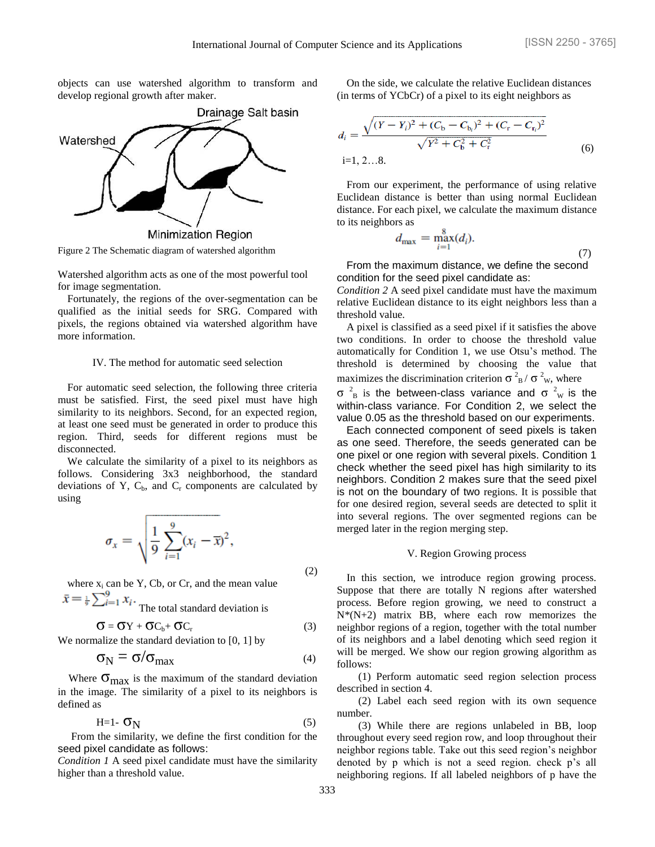objects can use watershed algorithm to transform and develop regional growth after maker.



Figure 2 The Schematic diagram of watershed algorithm

Watershed algorithm acts as one of the most powerful tool for image segmentation.

Fortunately, the regions of the over-segmentation can be qualified as the initial seeds for SRG. Compared with pixels, the regions obtained via watershed algorithm have more information.

### IV. The method for automatic seed selection

For automatic seed selection, the following three criteria must be satisfied. First, the seed pixel must have high similarity to its neighbors. Second, for an expected region, at least one seed must be generated in order to produce this region. Third, seeds for different regions must be disconnected.

We calculate the similarity of a pixel to its neighbors as follows. Considering 3x3 neighborhood, the standard deviations of Y,  $C_b$ , and  $C_r$  components are calculated by using

$$
\sigma_x = \sqrt{\frac{1}{9} \sum_{i=1}^{9} (x_i - \overline{x})^2},
$$

where  $x_i$  can be Y, Cb, or Cr, and the mean value

The total standard deviation is

$$
\mathbf{C} = \mathbf{C}Y + \mathbf{C}C_{b} + \mathbf{C}C_{r}
$$
 (3)

We normalize the standard deviation to [0, 1] by

$$
\sigma_{\rm N} = \sigma / \sigma_{\rm max} \tag{4}
$$

Where  $\sigma_{\text{max}}$  is the maximum of the standard deviation in the image. The similarity of a pixel to its neighbors is defined as

$$
H=1-\sigma_N\tag{5}
$$

 From the similarity, we define the first condition for the seed pixel candidate as follows:

*Condition 1* A seed pixel candidate must have the similarity higher than a threshold value.

On the side, we calculate the relative Euclidean distances (in terms of YCbCr) of a pixel to its eight neighbors as

$$
d_i = \frac{\sqrt{(Y - Y_i)^2 + (C_{\rm b} - C_{\rm b_i})^2 + (C_{\rm r} - C_{\rm r_i})^2}}{\sqrt{Y^2 + C_{\rm b}^2 + C_{\rm r}^2}}
$$
(6)  
i=1, 2...8.

From our experiment, the performance of using relative Euclidean distance is better than using normal Euclidean distance. For each pixel, we calculate the maximum distance to its neighbors as

$$
d_{\max} = \max_{i=1}^{8} (d_i). \tag{7}
$$

From the maximum distance, we define the second condition for the seed pixel candidate as:

*Condition 2* A seed pixel candidate must have the maximum relative Euclidean distance to its eight neighbors less than a threshold value.

A pixel is classified as a seed pixel if it satisfies the above two conditions. In order to choose the threshold value automatically for Condition 1, we use Otsu"s method. The threshold is determined by choosing the value that maximizes the discrimination criterion  $\sigma^2$ <sub>B</sub> /  $\sigma^2$ <sub>W</sub>, where  $\sigma^2$ <sub>B</sub> is the between-class variance and  $\sigma^2$ <sub>W</sub> is the within-class variance. For Condition 2, we select the value 0.05 as the threshold based on our experiments.

Each connected component of seed pixels is taken as one seed. Therefore, the seeds generated can be one pixel or one region with several pixels. Condition 1 check whether the seed pixel has high similarity to its neighbors. Condition 2 makes sure that the seed pixel is not on the boundary of two regions. It is possible that for one desired region, several seeds are detected to split it into several regions. The over segmented regions can be merged later in the region merging step.

## V. Region Growing process

In this section, we introduce region growing process. Suppose that there are totally N regions after watershed process. Before region growing, we need to construct a  $N^*(N+2)$  matrix BB, where each row memorizes the neighbor regions of a region, together with the total number of its neighbors and a label denoting which seed region it will be merged. We show our region growing algorithm as follows:

(1) Perform automatic seed region selection process described in section 4.

(2) Label each seed region with its own sequence number.

(3) While there are regions unlabeled in BB, loop throughout every seed region row, and loop throughout their neighbor regions table. Take out this seed region"s neighbor denoted by p which is not a seed region. check p"s all neighboring regions. If all labeled neighbors of p have the

(2)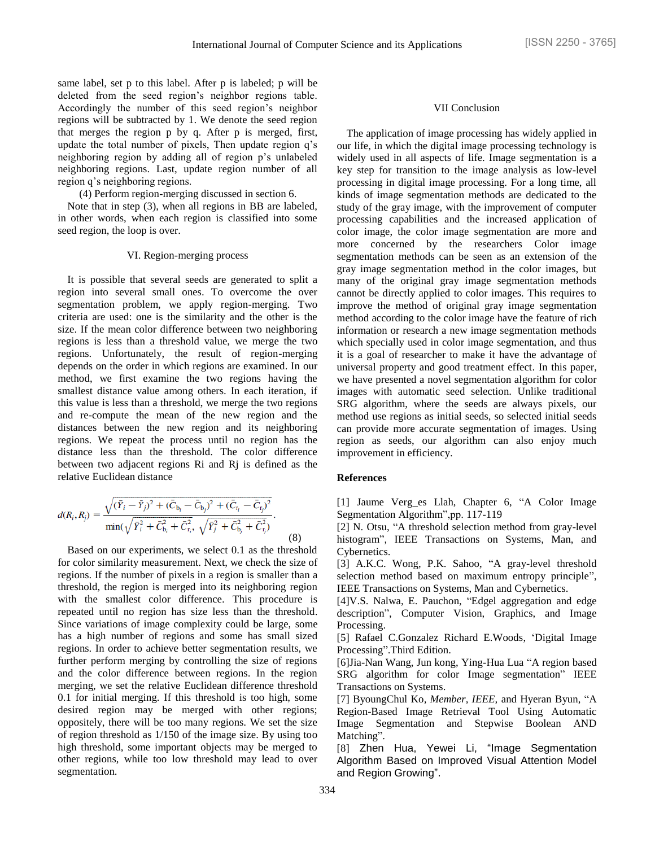same label, set p to this label. After p is labeled; p will be deleted from the seed region"s neighbor regions table. Accordingly the number of this seed region"s neighbor regions will be subtracted by 1. We denote the seed region that merges the region p by q. After p is merged, first, update the total number of pixels, Then update region q"s neighboring region by adding all of region p"s unlabeled neighboring regions. Last, update region number of all region q"s neighboring regions.

(4) Perform region-merging discussed in section 6.

Note that in step (3), when all regions in BB are labeled, in other words, when each region is classified into some seed region, the loop is over.

# VI. Region-merging process

It is possible that several seeds are generated to split a region into several small ones. To overcome the over segmentation problem, we apply region-merging. Two criteria are used: one is the similarity and the other is the size. If the mean color difference between two neighboring regions is less than a threshold value, we merge the two regions. Unfortunately, the result of region-merging depends on the order in which regions are examined. In our method, we first examine the two regions having the smallest distance value among others. In each iteration, if this value is less than a threshold, we merge the two regions and re-compute the mean of the new region and the distances between the new region and its neighboring regions. We repeat the process until no region has the distance less than the threshold. The color difference between two adjacent regions Ri and Rj is defined as the relative Euclidean distance

$$
d(R_i, R_j) = \frac{\sqrt{(\bar{Y}_i - \bar{Y}_j)^2 + (\bar{C}_{b_i} - \bar{C}_{b_j})^2 + (\bar{C}_{r_i} - \bar{C}_{r_j})^2}}{\min(\sqrt{\bar{Y}_i^2 + \bar{C}_{b_i}^2 + \bar{C}_{r_i}^2}, \sqrt{\bar{Y}_j^2 + \bar{C}_{b_j}^2 + \bar{C}_{r_j}^2})}.
$$
\n(8)

Based on our experiments, we select 0.1 as the threshold for color similarity measurement. Next, we check the size of regions. If the number of pixels in a region is smaller than a threshold, the region is merged into its neighboring region with the smallest color difference. This procedure is repeated until no region has size less than the threshold. Since variations of image complexity could be large, some has a high number of regions and some has small sized regions. In order to achieve better segmentation results, we further perform merging by controlling the size of regions and the color difference between regions. In the region merging, we set the relative Euclidean difference threshold 0.1 for initial merging. If this threshold is too high, some desired region may be merged with other regions; oppositely, there will be too many regions. We set the size of region threshold as 1/150 of the image size. By using too high threshold, some important objects may be merged to other regions, while too low threshold may lead to over segmentation.

#### VII Conclusion

The application of image processing has widely applied in our life, in which the digital image processing technology is widely used in all aspects of life. Image segmentation is a key step for transition to the image analysis as low-level processing in digital image processing. For a long time, all kinds of image segmentation methods are dedicated to the study of the gray image, with the improvement of computer processing capabilities and the increased application of color image, the color image segmentation are more and more concerned by the researchers Color image segmentation methods can be seen as an extension of the gray image segmentation method in the color images, but many of the original gray image segmentation methods cannot be directly applied to color images. This requires to improve the method of original gray image segmentation method according to the color image have the feature of rich information or research a new image segmentation methods which specially used in color image segmentation, and thus it is a goal of researcher to make it have the advantage of universal property and good treatment effect. In this paper, we have presented a novel segmentation algorithm for color images with automatic seed selection. Unlike traditional SRG algorithm, where the seeds are always pixels, our method use regions as initial seeds, so selected initial seeds can provide more accurate segmentation of images. Using region as seeds, our algorithm can also enjoy much improvement in efficiency.

# **References**

[1] Jaume Verg\_es Llah, Chapter 6, "A Color Image Segmentation Algorithm",pp. 117-119

[2] N. Otsu, "A threshold selection method from gray-level histogram", IEEE Transactions on Systems, Man, and Cybernetics.

[3] A.K.C. Wong, P.K. Sahoo, "A gray-level threshold selection method based on maximum entropy principle", IEEE Transactions on Systems, Man and Cybernetics.

[4]V.S. Nalwa, E. Pauchon, "Edgel aggregation and edge description", Computer Vision, Graphics, and Image Processing.

[5] Rafael C.Gonzalez Richard E.Woods, "Digital Image Processing".Third Edition.

[6]Jia-Nan Wang, Jun kong, Ying-Hua Lua "A region based SRG algorithm for color Image segmentation" IEEE Transactions on Systems.

[7] ByoungChul Ko*, Member, IEEE,* and Hyeran Byun, "A Region-Based Image Retrieval Tool Using Automatic Image Segmentation and Stepwise Boolean AND Matching".

[8] Zhen Hua, Yewei Li, "Image Segmentation Algorithm Based on Improved Visual Attention Model and Region Growing".